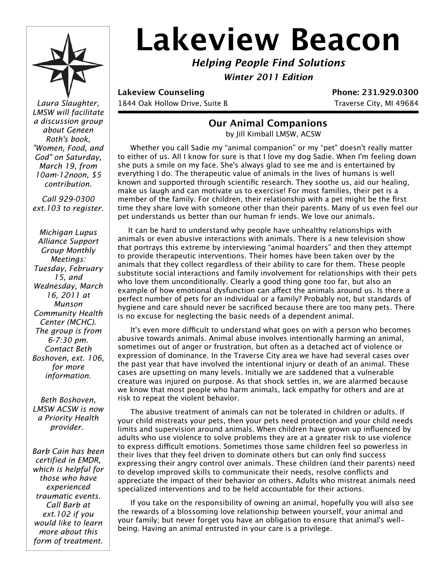

# Lakeview Beacon

*Helping People Find Solutions*

*Winter 2011 Edition*

Laura Slaughter,  $\parallel$  1844 Oak Hollow Drive, Suite B Traverse City, MI 49684

**Lakeview Counseling Phone: 231.929.0300** 

## **Our Animal Companions**

by Jill Kimball LMSW, ACSW

 Whether you call Sadie my "animal companion" or my "pet" doesn't really matter to either of us. All I know for sure is that I love my dog Sadie. When I'm feeling down she puts a smile on my face. She's always glad to see me and is entertained by everything I do. The therapeutic value of animals in the lives of humans is well known and supported through scientific research. They soothe us, aid our healing, make us laugh and can motivate us to exercise! For most families, their pet is a member of the family. For children, their relationship with a pet might be the first time they share love with someone other than their parents. Many of us even feel our pet understands us better than our human fr iends. We love our animals.

It can be hard to understand why people have unhealthy relationships with animals or even abusive interactions with animals. There is a new television show that portrays this extreme by interviewing "animal hoarders" and then they attempt to provide therapeutic interventions. Their homes have been taken over by the animals that they collect regardless of their ability to care for them. These people substitute social interactions and family involvement for relationships with their pets who love them unconditionally. Clearly a good thing gone too far, but also an example of how emotional dysfunction can affect the animals around us. Is there a perfect number of pets for an individual or a family? Probably not, but standards of hygiene and care should never be sacrificed because there are too many pets. There is no excuse for neglecting the basic needs of a dependent animal.

It's even more difficult to understand what goes on with a person who becomes abusive towards animals. Animal abuse involves intentionally harming an animal, sometimes out of anger or frustration, but often as a detached act of violence or expression of dominance. In the Traverse City area we have had several cases over the past year that have involved the intentional injury or death of an animal. These cases are upsetting on many levels. Initially we are saddened that a vulnerable creature was injured on purpose. As that shock settles in, we are alarmed because we know that most people who harm animals, lack empathy for others and are at risk to repeat the violent behavior.

 The abusive treatment of animals can not be tolerated in children or adults. If your child mistreats your pets, then your pets need protection and your child needs limits and supervision around animals. When children have grown up influenced by adults who use violence to solve problems they are at a greater risk to use violence to express difficult emotions. Sometimes those same children feel so powerless in their lives that they feel driven to dominate others but can only find success expressing their angry control over animals. These children (and their parents) need to develop improved skills to communicate their needs, resolve conflicts and appreciate the impact of their behavior on others. Adults who mistreat animals need specialized interventions and to be held accountable for their actions.

 If you take on the responsibility of owning an animal, hopefully you will also see the rewards of a blossoming love relationship between yourself, your animal and your family; but never forget you have an obligation to ensure that animal's wellbeing. Having an animal entrusted in your care is a privilege.

*LMSW will facilitate a discussion group about Geneen Roth's book, "Women, Food, and God" on Saturday, March 19, from 10am-12noon, \$5 contribution.*

*Call 929-0300 ext.103 to register.*

*Michigan Lupus Alliance Support Group Monthly Meetings: Tuesday, February 15, and Wednesday, March 16, 2011 at Munson Community Health Center (MCHC). The group is from 6-7:30 pm. Contact Beth Boshoven, ext. 106, for more information.*

*Beth Boshoven, LMSW ACSW is now a Priority Health provider.* 

*Barb Cain has been certified in EMDR, which is helpful for those who have experienced traumatic events. Call Barb at ext.102 if you would like to learn more about this form of treatment.*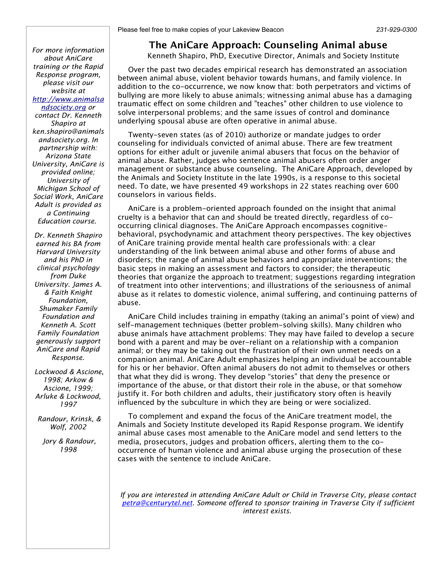*For more information about AniCare training or the Rapid Response program, please visit our website at http://www.animalsa ndsociety.org or contact Dr. Kenneth Shapiro at ken.shapiro@animals andsociety.org. In partnership with: Arizona State University, AniCare is provided online; University of Michigan School of Social Work, AniCare Adult is provided as a Continuing Education course.* 

*Dr. Kenneth Shapiro earned his BA from Harvard University and his PhD in clinical psychology from Duke University. James A. & Faith Knight Foundation, Shumaker Family Foundation and Kenneth A. Scott Family Foundation generously support AniCare and Rapid Response.*

 *Lockwood & Ascione, 1998; Arkow & Ascione, 1999; Arluke & Lockwood, 1997*

 *Randour, Krinsk, & Wolf, 2002*

 *Jory & Randour, 1998*

#### **The AniCare Approach: Counseling Animal abuse**

Kenneth Shapiro, PhD, Executive Director, Animals and Society Institute

Over the past two decades empirical research has demonstrated an association between animal abuse, violent behavior towards humans, and family violence. In addition to the co-occurrence, we now know that: both perpetrators and victims of bullying are more likely to abuse animals; witnessing animal abuse has a damaging traumatic effect on some children and "teaches" other children to use violence to solve interpersonal problems; and the same issues of control and dominance underlying spousal abuse are often operative in animal abuse.

Twenty-seven states (as of 2010) authorize or mandate judges to order counseling for individuals convicted of animal abuse. There are few treatment options for either adult or juvenile animal abusers that focus on the behavior of animal abuse. Rather, judges who sentence animal abusers often order anger management or substance abuse counseling. The AniCare Approach, developed by the Animals and Society Institute in the late 1990s, is a response to this societal need. To date, we have presented 49 workshops in 22 states reaching over 600 counselors in various fields.

AniCare is a problem-oriented approach founded on the insight that animal cruelty is a behavior that can and should be treated directly, regardless of cooccurring clinical diagnoses. The AniCare Approach encompasses cognitivebehavioral, psychodynamic and attachment theory perspectives. The key objectives of AniCare training provide mental health care professionals with: a clear understanding of the link between animal abuse and other forms of abuse and disorders; the range of animal abuse behaviors and appropriate interventions; the basic steps in making an assessment and factors to consider; the therapeutic theories that organize the approach to treatment; suggestions regarding integration of treatment into other interventions; and illustrations of the seriousness of animal abuse as it relates to domestic violence, animal suffering, and continuing patterns of abuse.

AniCare Child includes training in empathy (taking an animal's point of view) and self-management techniques (better problem-solving skills). Many children who abuse animals have attachment problems: They may have failed to develop a secure bond with a parent and may be over-reliant on a relationship with a companion animal; or they may be taking out the frustration of their own unmet needs on a companion animal. AniCare Adult emphasizes helping an individual be accountable for his or her behavior. Often animal abusers do not admit to themselves or others that what they did is wrong. They develop "stories" that deny the presence or importance of the abuse, or that distort their role in the abuse, or that somehow justify it. For both children and adults, their justificatory story often is heavily influenced by the subculture in which they are being or were socialized.

To complement and expand the focus of the AniCare treatment model, the Animals and Society Institute developed its Rapid Response program. We identify animal abuse cases most amenable to the AniCare model and send letters to the media, prosecutors, judges and probation officers, alerting them to the cooccurrence of human violence and animal abuse urging the prosecution of these cases with the sentence to include AniCare.

*If you are interested in attending AniCare Adult or Child in Traverse City, please contact petra@centurytel.net. Someone offered to sponsor training in Traverse City if sufficient interest exists.*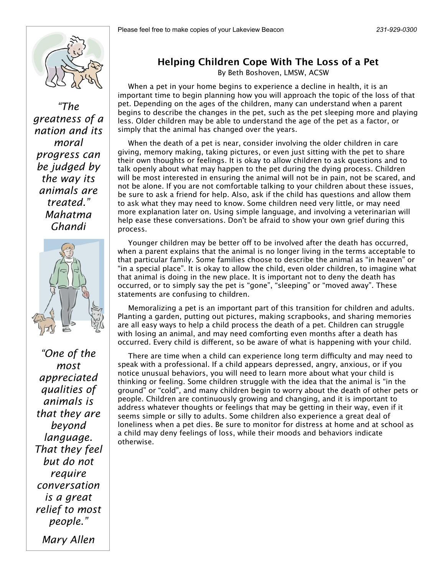

*"The greatness of a nation and its moral progress can be judged by the way its animals are treated." Mahatma Ghandi*



*"One of the most appreciated qualities of animals is that they are beyond language. That they feel but do not require conversation is a great relief to most people."*

*Mary Allen*

### **Helping Children Cope With The Loss of a Pet**

By Beth Boshoven, LMSW, ACSW

When a pet in your home begins to experience a decline in health, it is an important time to begin planning how you will approach the topic of the loss of that pet. Depending on the ages of the children, many can understand when a parent begins to describe the changes in the pet, such as the pet sleeping more and playing less. Older children may be able to understand the age of the pet as a factor, or simply that the animal has changed over the years.

When the death of a pet is near, consider involving the older children in care giving, memory making, taking pictures, or even just sitting with the pet to share their own thoughts or feelings. It is okay to allow children to ask questions and to talk openly about what may happen to the pet during the dying process. Children will be most interested in ensuring the animal will not be in pain, not be scared, and not be alone. If you are not comfortable talking to your children about these issues, be sure to ask a friend for help. Also, ask if the child has questions and allow them to ask what they may need to know. Some children need very little, or may need more explanation later on. Using simple language, and involving a veterinarian will help ease these conversations. Don't be afraid to show your own grief during this process.

Younger children may be better off to be involved after the death has occurred, when a parent explains that the animal is no longer living in the terms acceptable to that particular family. Some families choose to describe the animal as "in heaven" or "in a special place". It is okay to allow the child, even older children, to imagine what that animal is doing in the new place. It is important not to deny the death has occurred, or to simply say the pet is "gone", "sleeping" or "moved away". These statements are confusing to children.

Memoralizing a pet is an important part of this transition for children and adults. Planting a garden, putting out pictures, making scrapbooks, and sharing memories are all easy ways to help a child process the death of a pet. Children can struggle with losing an animal, and may need comforting even months after a death has occurred. Every child is different, so be aware of what is happening with your child.

There are time when a child can experience long term difficulty and may need to speak with a professional. If a child appears depressed, angry, anxious, or if you notice unusual behaviors, you will need to learn more about what your child is thinking or feeling. Some children struggle with the idea that the animal is "in the ground" or "cold", and many children begin to worry about the death of other pets or people. Children are continuously growing and changing, and it is important to address whatever thoughts or feelings that may be getting in their way, even if it seems simple or silly to adults. Some children also experience a great deal of loneliness when a pet dies. Be sure to monitor for distress at home and at school as a child may deny feelings of loss, while their moods and behaviors indicate otherwise.